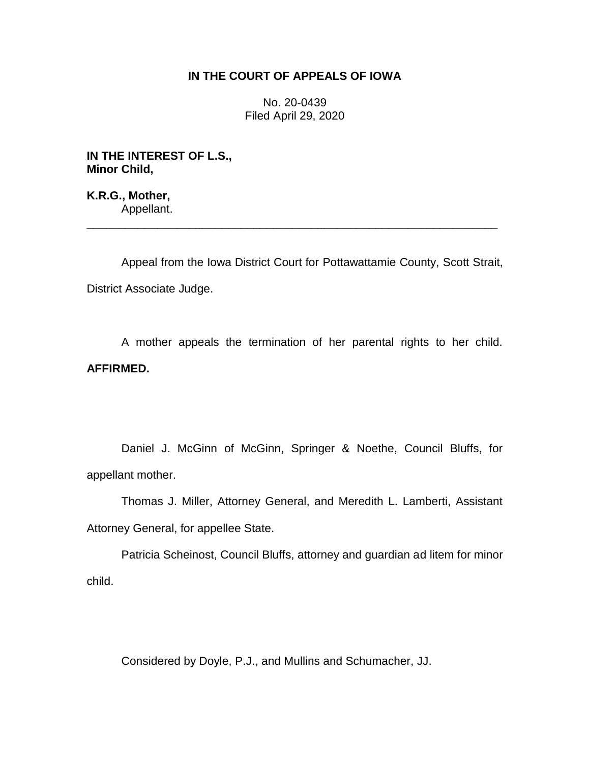## **IN THE COURT OF APPEALS OF IOWA**

No. 20-0439 Filed April 29, 2020

**IN THE INTEREST OF L.S., Minor Child,**

**K.R.G., Mother,** Appellant.

Appeal from the Iowa District Court for Pottawattamie County, Scott Strait, District Associate Judge.

\_\_\_\_\_\_\_\_\_\_\_\_\_\_\_\_\_\_\_\_\_\_\_\_\_\_\_\_\_\_\_\_\_\_\_\_\_\_\_\_\_\_\_\_\_\_\_\_\_\_\_\_\_\_\_\_\_\_\_\_\_\_\_\_

A mother appeals the termination of her parental rights to her child. **AFFIRMED.**

Daniel J. McGinn of McGinn, Springer & Noethe, Council Bluffs, for appellant mother.

Thomas J. Miller, Attorney General, and Meredith L. Lamberti, Assistant Attorney General, for appellee State.

Patricia Scheinost, Council Bluffs, attorney and guardian ad litem for minor child.

Considered by Doyle, P.J., and Mullins and Schumacher, JJ.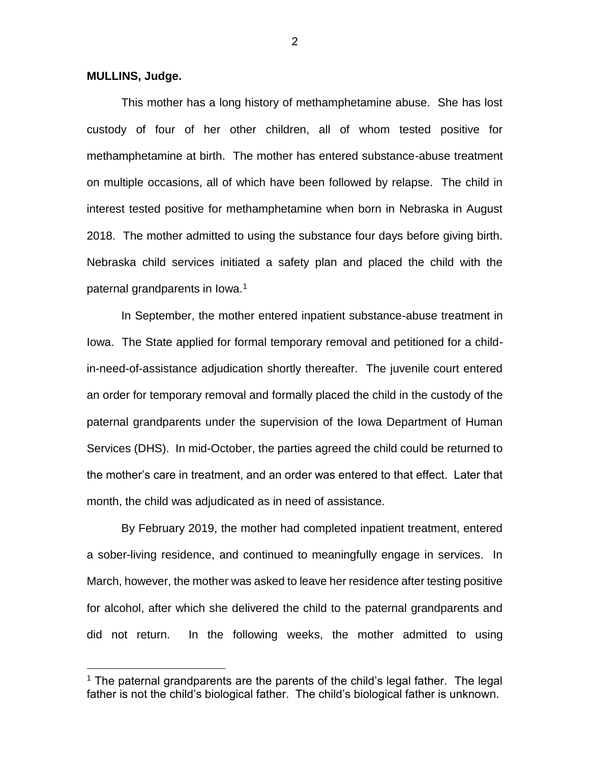## **MULLINS, Judge.**

 $\overline{a}$ 

This mother has a long history of methamphetamine abuse. She has lost custody of four of her other children, all of whom tested positive for methamphetamine at birth. The mother has entered substance-abuse treatment on multiple occasions, all of which have been followed by relapse. The child in interest tested positive for methamphetamine when born in Nebraska in August 2018. The mother admitted to using the substance four days before giving birth. Nebraska child services initiated a safety plan and placed the child with the paternal grandparents in Iowa.<sup>1</sup>

In September, the mother entered inpatient substance-abuse treatment in Iowa. The State applied for formal temporary removal and petitioned for a childin-need-of-assistance adjudication shortly thereafter. The juvenile court entered an order for temporary removal and formally placed the child in the custody of the paternal grandparents under the supervision of the Iowa Department of Human Services (DHS). In mid-October, the parties agreed the child could be returned to the mother's care in treatment, and an order was entered to that effect. Later that month, the child was adjudicated as in need of assistance.

By February 2019, the mother had completed inpatient treatment, entered a sober-living residence, and continued to meaningfully engage in services. In March, however, the mother was asked to leave her residence after testing positive for alcohol, after which she delivered the child to the paternal grandparents and did not return. In the following weeks, the mother admitted to using

 $1$  The paternal grandparents are the parents of the child's legal father. The legal father is not the child's biological father. The child's biological father is unknown.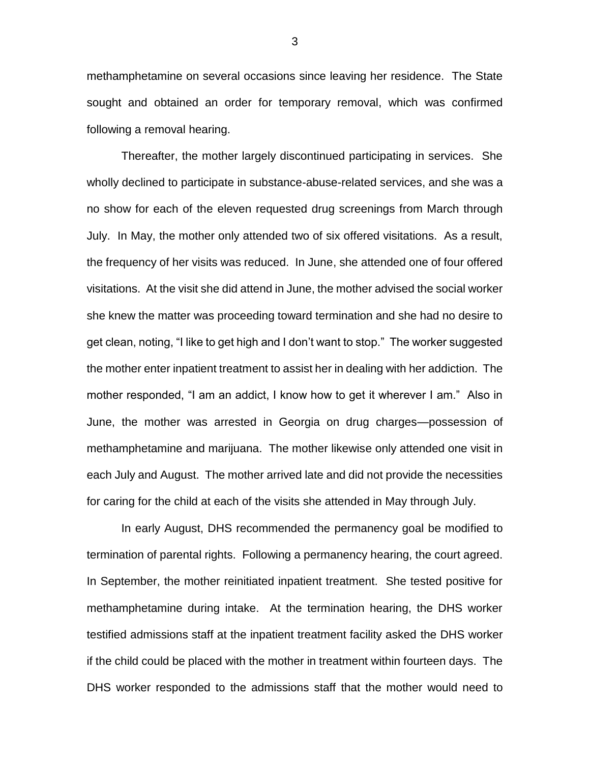methamphetamine on several occasions since leaving her residence. The State sought and obtained an order for temporary removal, which was confirmed following a removal hearing.

Thereafter, the mother largely discontinued participating in services. She wholly declined to participate in substance-abuse-related services, and she was a no show for each of the eleven requested drug screenings from March through July. In May, the mother only attended two of six offered visitations. As a result, the frequency of her visits was reduced. In June, she attended one of four offered visitations. At the visit she did attend in June, the mother advised the social worker she knew the matter was proceeding toward termination and she had no desire to get clean, noting, "I like to get high and I don't want to stop." The worker suggested the mother enter inpatient treatment to assist her in dealing with her addiction. The mother responded, "I am an addict, I know how to get it wherever I am." Also in June, the mother was arrested in Georgia on drug charges—possession of methamphetamine and marijuana. The mother likewise only attended one visit in each July and August. The mother arrived late and did not provide the necessities for caring for the child at each of the visits she attended in May through July.

In early August, DHS recommended the permanency goal be modified to termination of parental rights. Following a permanency hearing, the court agreed. In September, the mother reinitiated inpatient treatment. She tested positive for methamphetamine during intake. At the termination hearing, the DHS worker testified admissions staff at the inpatient treatment facility asked the DHS worker if the child could be placed with the mother in treatment within fourteen days. The DHS worker responded to the admissions staff that the mother would need to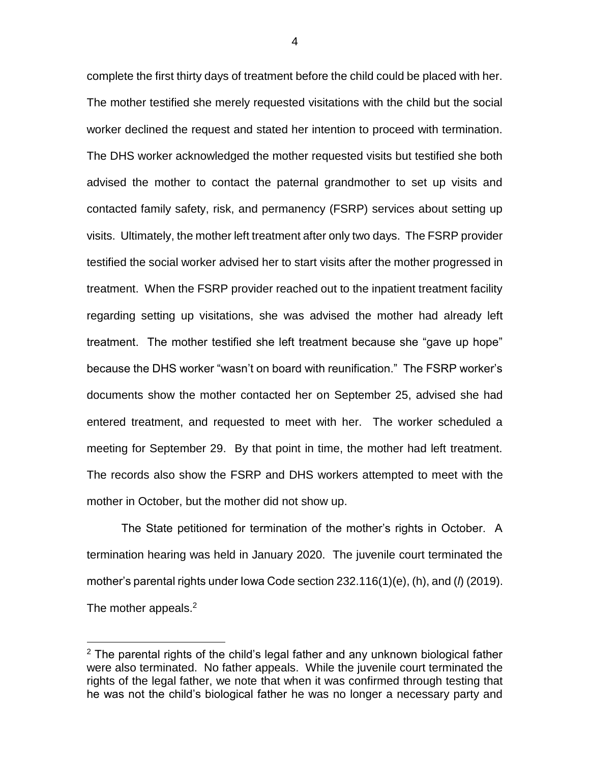complete the first thirty days of treatment before the child could be placed with her. The mother testified she merely requested visitations with the child but the social worker declined the request and stated her intention to proceed with termination. The DHS worker acknowledged the mother requested visits but testified she both advised the mother to contact the paternal grandmother to set up visits and contacted family safety, risk, and permanency (FSRP) services about setting up visits. Ultimately, the mother left treatment after only two days. The FSRP provider testified the social worker advised her to start visits after the mother progressed in treatment. When the FSRP provider reached out to the inpatient treatment facility regarding setting up visitations, she was advised the mother had already left treatment. The mother testified she left treatment because she "gave up hope" because the DHS worker "wasn't on board with reunification." The FSRP worker's documents show the mother contacted her on September 25, advised she had entered treatment, and requested to meet with her. The worker scheduled a meeting for September 29. By that point in time, the mother had left treatment. The records also show the FSRP and DHS workers attempted to meet with the mother in October, but the mother did not show up.

The State petitioned for termination of the mother's rights in October. A termination hearing was held in January 2020. The juvenile court terminated the mother's parental rights under Iowa Code section 232.116(1)(e), (h), and (*l*) (2019). The mother appeals.<sup>2</sup>

 $\overline{a}$ 

 $2$  The parental rights of the child's legal father and any unknown biological father were also terminated. No father appeals. While the juvenile court terminated the rights of the legal father, we note that when it was confirmed through testing that he was not the child's biological father he was no longer a necessary party and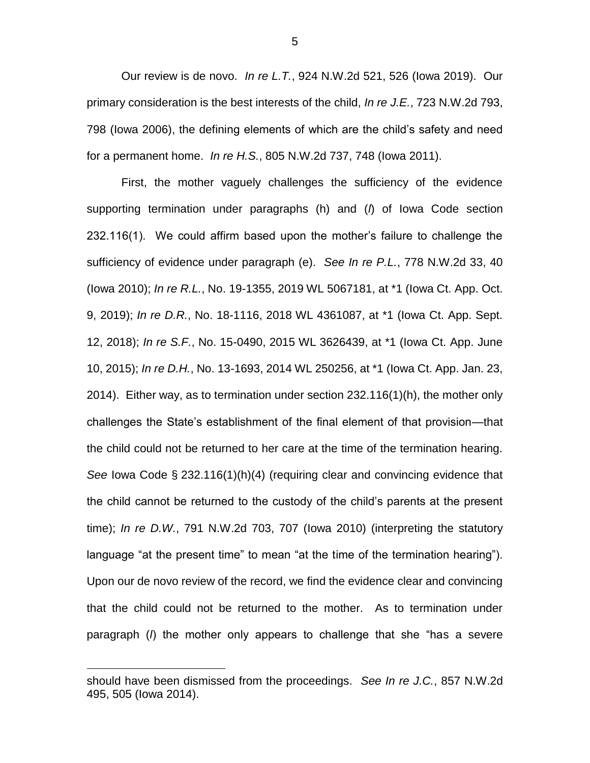Our review is de novo. *In re L.T.*, 924 N.W.2d 521, 526 (Iowa 2019). Our primary consideration is the best interests of the child, *In re J.E.*, 723 N.W.2d 793, 798 (Iowa 2006), the defining elements of which are the child's safety and need for a permanent home. *In re H.S.*, 805 N.W.2d 737, 748 (Iowa 2011).

First, the mother vaguely challenges the sufficiency of the evidence supporting termination under paragraphs (h) and (*l*) of Iowa Code section 232.116(1). We could affirm based upon the mother's failure to challenge the sufficiency of evidence under paragraph (e). *See In re P.L.*, 778 N.W.2d 33, 40 (Iowa 2010); *In re R.L.*, No. 19-1355, 2019 WL 5067181, at \*1 (Iowa Ct. App. Oct. 9, 2019); *In re D.R.*, No. 18-1116, 2018 WL 4361087, at \*1 (Iowa Ct. App. Sept. 12, 2018); *In re S.F.*, No. 15-0490, 2015 WL 3626439, at \*1 (Iowa Ct. App. June 10, 2015); *In re D.H.*, No. 13-1693, 2014 WL 250256, at \*1 (Iowa Ct. App. Jan. 23, 2014). Either way, as to termination under section 232.116(1)(h), the mother only challenges the State's establishment of the final element of that provision—that the child could not be returned to her care at the time of the termination hearing. *See* Iowa Code § 232.116(1)(h)(4) (requiring clear and convincing evidence that the child cannot be returned to the custody of the child's parents at the present time); *In re D.W.*, 791 N.W.2d 703, 707 (Iowa 2010) (interpreting the statutory language "at the present time" to mean "at the time of the termination hearing"). Upon our de novo review of the record, we find the evidence clear and convincing that the child could not be returned to the mother. As to termination under paragraph (*l*) the mother only appears to challenge that she "has a severe

 $\overline{a}$ 

5

should have been dismissed from the proceedings. *See In re J.C.*, 857 N.W.2d 495, 505 (Iowa 2014).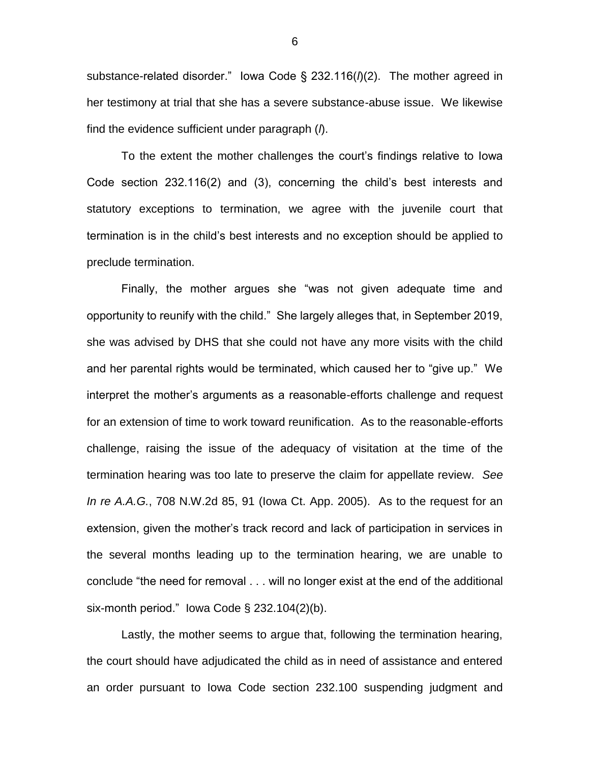substance-related disorder." Iowa Code § 232.116(*l*)(2). The mother agreed in her testimony at trial that she has a severe substance-abuse issue. We likewise find the evidence sufficient under paragraph (*l*).

To the extent the mother challenges the court's findings relative to Iowa Code section 232.116(2) and (3), concerning the child's best interests and statutory exceptions to termination, we agree with the juvenile court that termination is in the child's best interests and no exception should be applied to preclude termination.

Finally, the mother argues she "was not given adequate time and opportunity to reunify with the child." She largely alleges that, in September 2019, she was advised by DHS that she could not have any more visits with the child and her parental rights would be terminated, which caused her to "give up." We interpret the mother's arguments as a reasonable-efforts challenge and request for an extension of time to work toward reunification. As to the reasonable-efforts challenge, raising the issue of the adequacy of visitation at the time of the termination hearing was too late to preserve the claim for appellate review. *See In re A.A.G.*, 708 N.W.2d 85, 91 (Iowa Ct. App. 2005). As to the request for an extension, given the mother's track record and lack of participation in services in the several months leading up to the termination hearing, we are unable to conclude "the need for removal . . . will no longer exist at the end of the additional six-month period." Iowa Code § 232.104(2)(b).

Lastly, the mother seems to argue that, following the termination hearing, the court should have adjudicated the child as in need of assistance and entered an order pursuant to Iowa Code section 232.100 suspending judgment and

6